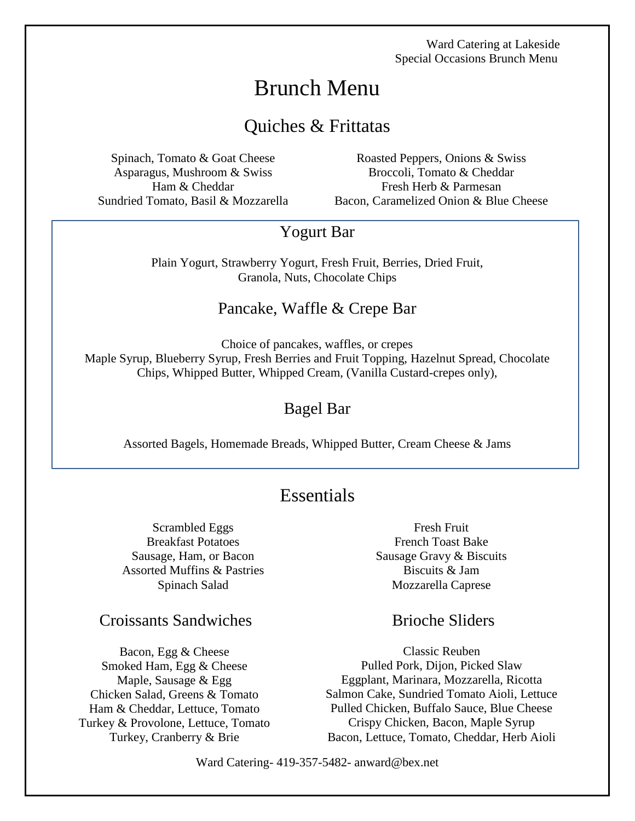# Brunch Menu

# Quiches & Frittatas

Spinach, Tomato & Goat Cheese Asparagus, Mushroom & Swiss Ham & Cheddar Sundried Tomato, Basil & Mozzarella

Roasted Peppers, Onions & Swiss Broccoli, Tomato & Cheddar Fresh Herb & Parmesan Bacon, Caramelized Onion & Blue Cheese

## Yogurt Bar

Plain Yogurt, Strawberry Yogurt, Fresh Fruit, Berries, Dried Fruit, Granola, Nuts, Chocolate Chips

### Pancake, Waffle & Crepe Bar

Choice of pancakes, waffles, or crepes Maple Syrup, Blueberry Syrup, Fresh Berries and Fruit Topping, Hazelnut Spread, Chocolate Chips, Whipped Butter, Whipped Cream, (Vanilla Custard-crepes only),

### Bagel Bar

Assorted Bagels, Homemade Breads, Whipped Butter, Cream Cheese & Jams

# **Essentials**

Scrambled Eggs Breakfast Potatoes Sausage, Ham, or Bacon Assorted Muffins & Pastries Spinach Salad

Croissants Sandwiches Brioche Sliders

Bacon, Egg & Cheese Smoked Ham, Egg & Cheese Maple, Sausage & Egg Chicken Salad, Greens & Tomato Ham & Cheddar, Lettuce, Tomato Turkey & Provolone, Lettuce, Tomato Turkey, Cranberry & Brie

Fresh Fruit French Toast Bake Sausage Gravy & Biscuits Biscuits & Jam Mozzarella Caprese

Classic Reuben Pulled Pork, Dijon, Picked Slaw Eggplant, Marinara, Mozzarella, Ricotta Salmon Cake, Sundried Tomato Aioli, Lettuce Pulled Chicken, Buffalo Sauce, Blue Cheese Crispy Chicken, Bacon, Maple Syrup Bacon, Lettuce, Tomato, Cheddar, Herb Aioli

Ward Catering- 419-357-5482- anward@bex.net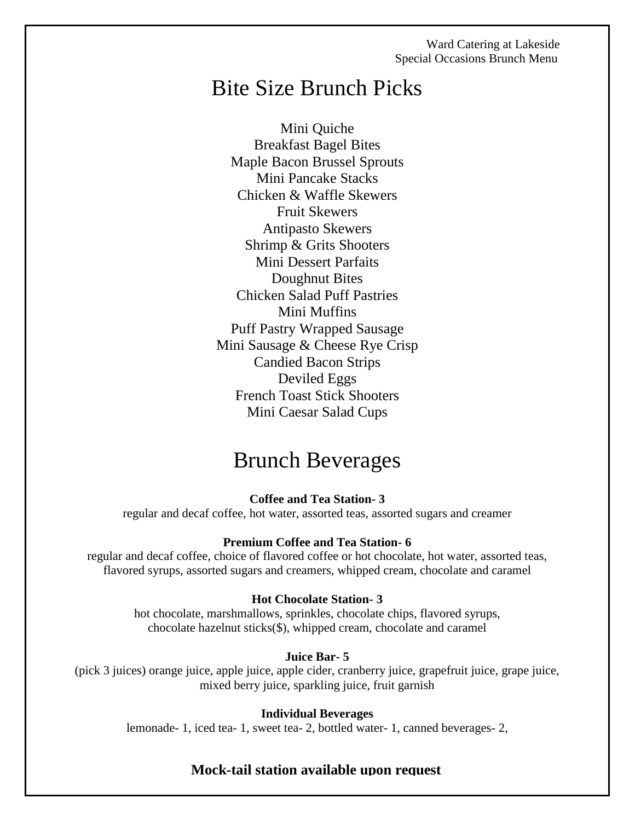# Bite Size Brunch Picks

Mini Quiche Breakfast Bagel Bites Maple Bacon Brussel Sprouts Mini Pancake Stacks Chicken & Waffle Skewers Fruit Skewers Antipasto Skewers Shrimp & Grits Shooters Mini Dessert Parfaits Doughnut Bites Chicken Salad Puff Pastries Mini Muffins Puff Pastry Wrapped Sausage Mini Sausage & Cheese Rye Crisp Candied Bacon Strips Deviled Eggs French Toast Stick Shooters Mini Caesar Salad Cups

# Brunch Beverages

**Coffee and Tea Station- 3**

regular and decaf coffee, hot water, assorted teas, assorted sugars and creamer

#### **Premium Coffee and Tea Station- 6**

regular and decaf coffee, choice of flavored coffee or hot chocolate, hot water, assorted teas, flavored syrups, assorted sugars and creamers, whipped cream, chocolate and caramel

#### **Hot Chocolate Station- 3**

hot chocolate, marshmallows, sprinkles, chocolate chips, flavored syrups, chocolate hazelnut sticks(\$), whipped cream, chocolate and caramel

#### **Juice Bar- 5**

(pick 3 juices) orange juice, apple juice, apple cider, cranberry juice, grapefruit juice, grape juice, mixed berry juice, sparkling juice, fruit garnish

#### **Individual Beverages**

lemonade- 1, iced tea- 1, sweet tea- 2, bottled water- 1, canned beverages- 2,

# Ward Catering- 419-357-5482- anward@bex.net **Mock-tail station available upon request**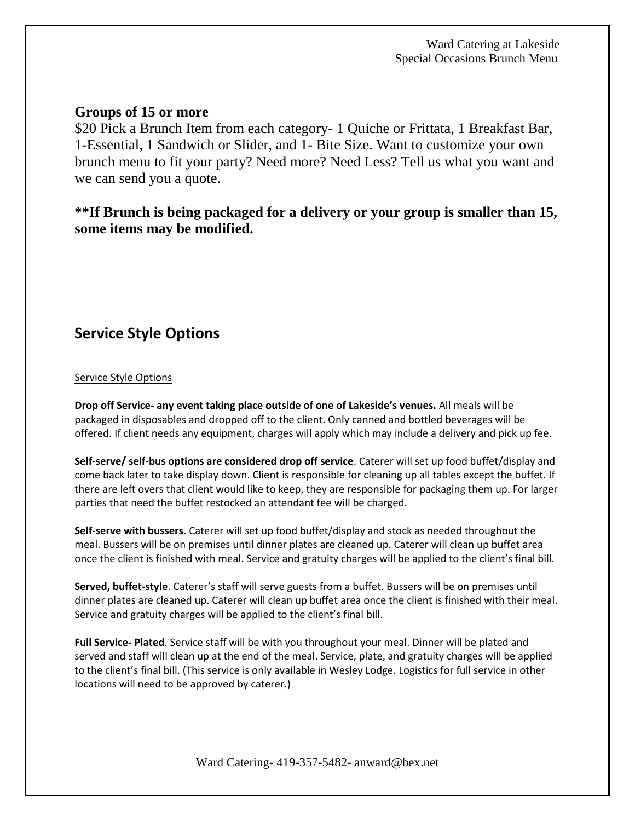### **Groups of 15 or more**

\$20 Pick a Brunch Item from each category- 1 Quiche or Frittata, 1 Breakfast Bar, 1-Essential, 1 Sandwich or Slider, and 1- Bite Size. Want to customize your own brunch menu to fit your party? Need more? Need Less? Tell us what you want and we can send you a quote.

### **\*\*If Brunch is being packaged for a delivery or your group is smaller than 15, some items may be modified.**

## **Service Style Options**

#### Service Style Options

**Drop off Service- any event taking place outside of one of Lakeside's venues.** All meals will be packaged in disposables and dropped off to the client. Only canned and bottled beverages will be offered. If client needs any equipment, charges will apply which may include a delivery and pick up fee.

**Self-serve/ self-bus options are considered drop off service**. Caterer will set up food buffet/display and come back later to take display down. Client is responsible for cleaning up all tables except the buffet. If there are left overs that client would like to keep, they are responsible for packaging them up. For larger parties that need the buffet restocked an attendant fee will be charged.

**Self-serve with bussers**. Caterer will set up food buffet/display and stock as needed throughout the meal. Bussers will be on premises until dinner plates are cleaned up. Caterer will clean up buffet area once the client is finished with meal. Service and gratuity charges will be applied to the client's final bill.

**Served, buffet-style**. Caterer's staff will serve guests from a buffet. Bussers will be on premises until dinner plates are cleaned up. Caterer will clean up buffet area once the client is finished with their meal. Service and gratuity charges will be applied to the client's final bill.

**Full Service- Plated**. Service staff will be with you throughout your meal. Dinner will be plated and served and staff will clean up at the end of the meal. Service, plate, and gratuity charges will be applied to the client's final bill. (This service is only available in Wesley Lodge. Logistics for full service in other locations will need to be approved by caterer.)

Ward Catering- 419-357-5482- anward@bex.net